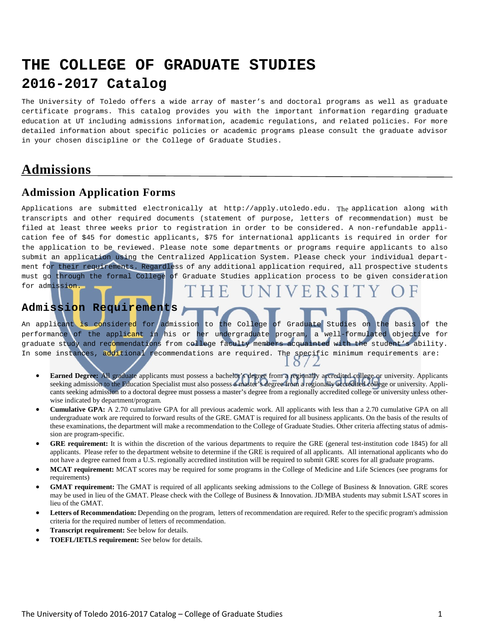# **THE COLLEGE OF GRADUATE STUDIES 2016-2017 Catalog**

The University of Toledo offers a wide array of master's and doctoral programs as well as graduate certificate programs. This catalog provides you with the important information regarding graduate education at UT including admissions information, academic regulations, and related policies. For more detailed information about specific policies or academic programs please consult the graduate advisor in your chosen discipline or the College of Graduate Studies.

# **Admissions**

# **Admission Application Forms**

Applications are submitted electronically at http://apply.utoledo.edu.The application along with transcripts and other required documents (statement of purpose, letters of recommendation) must be filed at least three weeks prior to registration in order to be considered. A non-refundable application fee of \$45 for domestic applicants, \$75 for international applicants is required in order for the application to be reviewed. Please note some departments or programs require applicants to also submit an application using the Centralized Application System. Please check your individual department for their requirements. Regardless of any additional application required, all prospective students must go through the formal College of Graduate Studies application process to be given consideration for admission.

# **Admission Requirements**

An applicant is considered for admission to the College of Graduate Studies on the basis of the<br>performance of the applicant in his or her undergraduate program, a well-formulated objective for performance of the applicant in his or her undergraduate program, a graduate study and recommendations from college faculty members acquainted with the student's ability. In some instances, additional recommendations are required. The specific minimum requirements are:

- **Earned Degree:** All graduate applicants must possess a bachelor's degree from a regionally accredited college or university. Applicants seeking admission to the Education Specialist must also possess a master's degree from a regionally accredited college or university. Applicants seeking admission to a doctoral degree must possess a master's degree from a regionally accredited college or university unless otherwise indicated by department/program.
- **Cumulative GPA:** A 2.70 cumulative GPA for all previous academic work. All applicants with less than a 2.70 cumulative GPA on all undergraduate work are required to forward results of the GRE. GMAT is required for all business applicants. On the basis of the results of these examinations, the department will make a recommendation to the College of Graduate Studies. Other criteria affecting status of admission are program-specific.
- **GRE requirement:** It is within the discretion of the various departments to require the GRE (general test-institution code 1845) for all applicants. Please refer to the department website to determine if the GRE is required of all applicants. All international applicants who do not have a degree earned from a U.S. regionally accredited institution will be required to submit GRE scores for all graduate programs.
- **MCAT requirement:** MCAT scores may be required for some programs in the College of Medicine and Life Sciences (see programs for requirements)
- **GMAT requirement:** The GMAT is required of all applicants seeking admissions to the College of Business & Innovation. GRE scores may be used in lieu of the GMAT. Please check with the College of Business & Innovation. JD/MBA students may submit LSAT scores in lieu of the GMAT.
- Letters of Recommendation: Depending on the program, letters of recommendation are required. Refer to the specific program's admission criteria for the required number of letters of recommendation.
- **Transcript requirement:** See below for details.
- **TOEFL/IETLS requirement:** See below for details.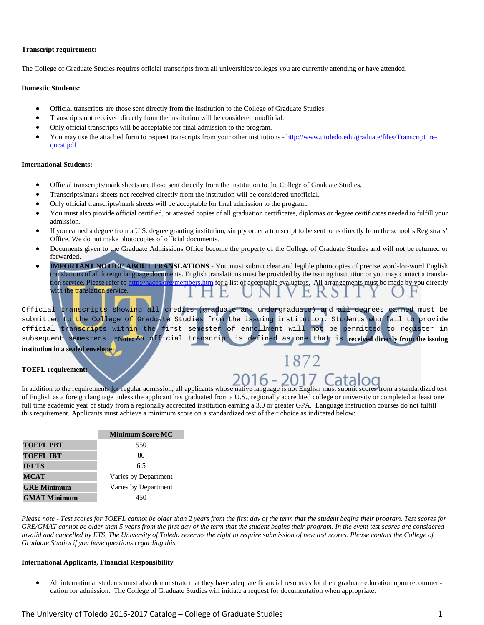#### **Transcript requirement:**

The College of Graduate Studies requires official transcripts from all universities/colleges you are currently attending or have attended.

#### **Domestic Students:**

- Official transcripts are those sent directly from the institution to the College of Graduate Studies.
- Transcripts not received directly from the institution will be considered unofficial.
- Only official transcripts will be acceptable for final admission to the program.
- You may use the attached form to request transcripts from your other institutions [http://www.utoledo.edu/graduate/files/Transcript\\_re](http://www.utoledo.edu/graduate/files/Transcript_request.pdf)[quest.pdf](http://www.utoledo.edu/graduate/files/Transcript_request.pdf)

#### **International Students:**

- Official transcripts/mark sheets are those sent directly from the institution to the College of Graduate Studies.
- Transcripts/mark sheets not received directly from the institution will be considered unofficial.
- Only official transcripts/mark sheets will be acceptable for final admission to the program.
- You must also provide official certified, or attested copies of all graduation certificates, diplomas or degree certificates needed to fulfill your admission.
- If you earned a degree from a U.S. degree granting institution, simply order a transcript to be sent to us directly from the school's Registrars' Office. We do not make photocopies of official documents.
- Documents given to the Graduate Admissions Office become the property of the College of Graduate Studies and will not be returned or forwarded.
- **IMPORTANT NOTICE ABOUT TRANSLATIONS** You must submit clear and legible photocopies of precise word-for-word English translations of all foreign language documents. English translations must be provided by the issuing institution or you may contact a translation service. Please refer t[o http://naces.org/members.htm](http://naces.org/members.htm) for a list of acceptable evaluators. All arrangements must be made by you directly with the translation service.

Official transcripts showing all credits (graduate and undergraduate) and all degrees earned must be submitted to the College of Graduate Studies from the issuing institution. Students who fail to provide official transcripts within the first semester of enrollment will not be permitted to register in subsequent semesters. **\*Note:** An official transcript is defined as one that is **received directly from the issuing** 

**institution in a sealed envelope**.

#### **TOEFL requirement:**

In addition to the requirements for regular admission, all applicants whose native language is not English must submit scores from a standardized test of English as a foreign language unless the applicant has graduated from a U.S., regionally accredited college or university or completed at least one full time academic year of study from a regionally accredited institution earning a 3.0 or greater GPA. Language instruction courses do not fulfill this requirement. Applicants must achieve a minimum score on a standardized test of their choice as indicated below:

|                     | <b>Minimum Score MC</b> |
|---------------------|-------------------------|
| <b>TOEFL PBT</b>    | 550                     |
| <b>TOEFL IBT</b>    | 80                      |
| <b>IELTS</b>        | 6.5                     |
| <b>MCAT</b>         | Varies by Department    |
| <b>GRE Minimum</b>  | Varies by Department    |
| <b>GMAT Minimum</b> | 450                     |

*Please note - Test scores for TOEFL cannot be older than 2 years from the first day of the term that the student begins their program. Test scores for GRE/GMAT cannot be older than 5 years from the first day of the term that the student begins their program. In the event test scores are considered invalid and cancelled by ETS, The University of Toledo reserves the right to require submission of new test scores. Please contact the College of Graduate Studies if you have questions regarding this.*

#### **International Applicants, Financial Responsibility**

• All international students must also demonstrate that they have adequate financial resources for their graduate education upon recommendation for admission. The College of Graduate Studies will initiate a request for documentation when appropriate.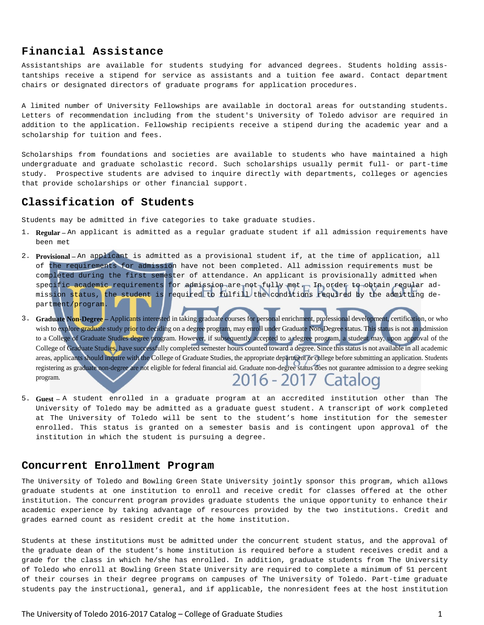#### **Financial Assistance**

Assistantships are available for students studying for advanced degrees. Students holding assistantships receive a stipend for service as assistants and a tuition fee award. Contact department chairs or designated directors of graduate programs for application procedures.

A limited number of University Fellowships are available in doctoral areas for outstanding students. Letters of recommendation including from the student's University of Toledo advisor are required in addition to the application. Fellowship recipients receive a stipend during the academic year and a scholarship for tuition and fees.

Scholarships from foundations and societies are available to students who have maintained a high undergraduate and graduate scholastic record. Such scholarships usually permit full- or part-time study. Prospective students are advised to inquire directly with departments, colleges or agencies that provide scholarships or other financial support.

#### **Classification of Students**

Students may be admitted in five categories to take graduate studies.

- 1. **Regular –** An applicant is admitted as a regular graduate student if all admission requirements have been met
- 2. **Provisional –** An applicant is admitted as a provisional student if, at the time of application, all of the requirements for admission have not been completed. All admission requirements must be completed during the first semester of attendance. An applicant is provisionally admitted when specific academic requirements for admission are not fully met. In order to obtain regular admission status, the student is required to fulfill the conditions required by the admitting department/program.
- 3. **Graduate Non-Degree –** Applicants interested in taking graduate courses for personal enrichment, professional development, certification, or who wish to explore graduate study pr<mark>io</mark>r to deciding on a degree program, may enroll under Graduate Non-Degree status. This status is not an admission to a College of Graduate Studies degree program. However, if subsequently accepted to a degree program, a student may, upon approval of the College of Graduate Studies, have successfully completed semester hours counted toward a degree. Since this status is not available in all academic areas, applicants should inquire with the College of Graduate Studies, the appropriate department or college before submitting an application. Students registering as graduate non-degree are not eligible for federal financial aid. Graduate non-degree status does not guarantee admission to a degree seeking program. 2016 - 2017 Catalog
- 5. **Guest –** A student enrolled in a graduate program at an accredited institution other than The University of Toledo may be admitted as a graduate guest student. A transcript of work completed at The University of Toledo will be sent to the student's home institution for the semester enrolled. This status is granted on a semester basis and is contingent upon approval of the institution in which the student is pursuing a degree.

#### **Concurrent Enrollment Program**

The University of Toledo and Bowling Green State University jointly sponsor this program, which allows graduate students at one institution to enroll and receive credit for classes offered at the other institution. The concurrent program provides graduate students the unique opportunity to enhance their academic experience by taking advantage of resources provided by the two institutions. Credit and grades earned count as resident credit at the home institution.

Students at these institutions must be admitted under the concurrent student status, and the approval of the graduate dean of the student's home institution is required before a student receives credit and a grade for the class in which he/she has enrolled. In addition, graduate students from The University of Toledo who enroll at Bowling Green State University are required to complete a minimum of 51 percent of their courses in their degree programs on campuses of The University of Toledo. Part-time graduate students pay the instructional, general, and if applicable, the nonresident fees at the host institution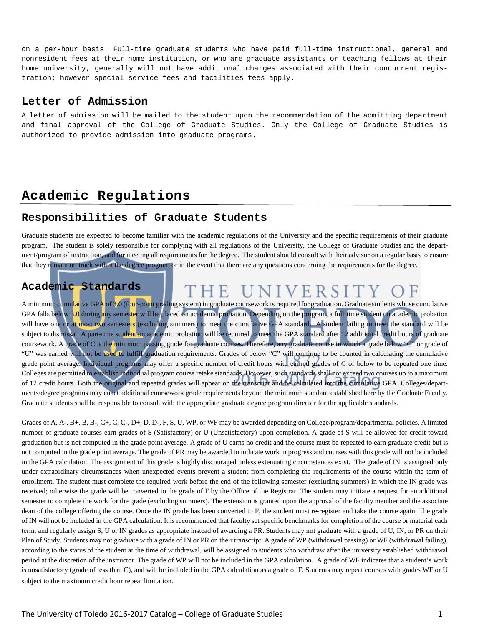on a per-hour basis. Full-time graduate students who have paid full-time instructional, general and nonresident fees at their home institution, or who are graduate assistants or teaching fellows at their home university, generally will not have additional charges associated with their concurrent registration; however special service fees and facilities fees apply.

#### **Letter of Admission**

A letter of admission will be mailed to the student upon the recommendation of the admitting department and final approval of the College of Graduate Studies. Only the College of Graduate Studies is authorized to provide admission into graduate programs.

# **Academic Regulations**

#### **Responsibilities of Graduate Students**

Graduate students are expected to become familiar with the academic regulations of the University and the specific requirements of their graduate program. The student is solely responsible for complying with all regulations of the University, the College of Graduate Studies and the department/program of instruction, and for meeting all requirements for the degree. The student should consult with their advisor on a regular basis to ensure that they remain on track within the degree program or in the event that there are any questions concerning the requirements for the degree.

## **Academic Standards**

#### THE UNIVERSITY O F

A minimum cumulative GPA of 3.0 (four-point grading system) in graduate coursework is required for graduation. Graduate students whose cumulative GPA falls below 3.0 during any semester will be placed on academic probation. Depending on the program, a full-time student on academic probation will have one or at most two semesters (excluding summers) to meet the cumulative GPA standard. A student failing to meet the standard will be subject to dismissal. A part-time student on academic probation will be required to meet the GPA standard after 12 additional credit hours of graduate coursework. A grade of C is the minimum passing grade for graduate courses. Therefore, any graduate course in which a grade below "C" or grade of "U" was earned will not be used to fulfill graduation requirements. Grades of below "C" will continue to be counted in calculating the cumulative grade point average. Individual programs may offer a specific number of credit hours with earned grades of C or below to be repeated one time. Colleges are permitted to establish individual program course retake standards. However, such standards shall not exceed two courses up to a maximum of 12 credit hours. Both the original and repeated grades will appear on the transcript and be calculated into the cumulative GPA. Colleges/departments/degree programs may enact additional coursework grade requirements beyond the minimum standard established here by the Graduate Faculty. Graduate students shall be responsible to consult with the appropriate graduate degree program director for the applicable standards.

Grades of A, A-, B+, B, B-, C+, C, C-, D+, D, D-, F, S, U, WP, or WF may be awarded depending on College/program/departmental policies. A limited number of graduate courses earn grades of S (Satisfactory) or U (Unsatisfactory) upon completion. A grade of S will be allowed for credit toward graduation but is not computed in the grade point average. A grade of U earns no credit and the course must be repeated to earn graduate credit but is not computed in the grade point average. The grade of PR may be awarded to indicate work in progress and courses with this grade will not be included in the GPA calculation. The assignment of this grade is highly discouraged unless extenuating circumstances exist. The grade of IN is assigned only under extraordinary circumstances when unexpected events prevent a student from completing the requirements of the course within the term of enrollment. The student must complete the required work before the end of the following semester (excluding summers) in which the IN grade was received; otherwise the grade will be converted to the grade of F by the Office of the Registrar. The student may initiate a request for an additional semester to complete the work for the grade (excluding summers). The extension is granted upon the approval of the faculty member and the associate dean of the college offering the course. Once the IN grade has been converted to F, the student must re-register and take the course again. The grade of IN will not be included in the GPA calculation. It is recommended that faculty set specific benchmarks for completion of the course or material each term, and regularly assign S, U or IN grades as appropriate instead of awarding a PR. Students may not graduate with a grade of U, IN, or PR on their Plan of Study. Students may not graduate with a grade of IN or PR on their transcript. A grade of WP (withdrawal passing) or WF (withdrawal failing), according to the status of the student at the time of withdrawal, will be assigned to students who withdraw after the university established withdrawal period at the discretion of the instructor. The grade of WP will not be included in the GPA calculation. A grade of WF indicates that a student's work is unsatisfactory (grade of less than C), and will be included in the GPA calculation as a grade of F. Students may repeat courses with grades WF or U subject to the maximum credit hour repeat limitation.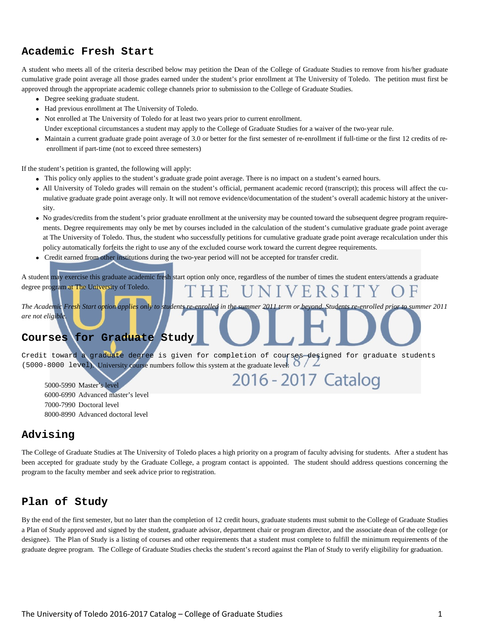# **Academic Fresh Start**

A student who meets all of the criteria described below may petition the Dean of the College of Graduate Studies to remove from his/her graduate cumulative grade point average all those grades earned under the student's prior enrollment at The University of Toledo. The petition must first be approved through the appropriate academic college channels prior to submission to the College of Graduate Studies.

- Degree seeking graduate student.
- Had previous enrollment at The University of Toledo.
- Not enrolled at The University of Toledo for at least two years prior to current enrollment.
- Under exceptional circumstances a student may apply to the College of Graduate Studies for a waiver of the two-year rule.
- Maintain a current graduate grade point average of 3.0 or better for the first semester of re-enrollment if full-time or the first 12 credits of reenrollment if part-time (not to exceed three semesters)

If the student's petition is granted, the following will apply:

- This policy only applies to the student's graduate grade point average. There is no impact on a student's earned hours.
- All University of Toledo grades will remain on the student's official, permanent academic record (transcript); this process will affect the cumulative graduate grade point average only. It will not remove evidence/documentation of the student's overall academic history at the university.
- No grades/credits from the student's prior graduate enrollment at the university may be counted toward the subsequent degree program requirements. Degree requirements may only be met by courses included in the calculation of the student's cumulative graduate grade point average at The University of Toledo. Thus, the student who successfully petitions for cumulative graduate grade point average recalculation under this policy automatically forfeits the right to use any of the excluded course work toward the current degree requirements.
- Credit earned from other institutions during the two‐year period will not be accepted for transfer credit.

A student may exercise this graduate academic fresh start option only once, regardless of the number of times the student enters/attends a graduate degree program at The University of Toledo. F VERSIT

*The Academic Fresh Start option applies only to students re-enrolled in the summer 2011 term or beyond. Students re-enrolled prior to summer 2011 are not eligible.*

# **Courses for Graduate Study**

Credit toward a graduate degree is given for completion of courses designed for graduate students (5000-8000 level). University course numbers follow this system at the graduate level:

2016 - 2017 Catalog

5000-5990 Master's level 6000-6990 Advanced master's level 7000-7990 Doctoral level 8000-8990 Advanced doctoral level

#### **Advising**

The College of Graduate Studies at The University of Toledo places a high priority on a program of faculty advising for students. After a student has been accepted for graduate study by the Graduate College, a program contact is appointed. The student should address questions concerning the program to the faculty member and seek advice prior to registration.

#### **Plan of Study**

By the end of the first semester, but no later than the completion of 12 credit hours, graduate students must submit to the College of Graduate Studies a Plan of Study approved and signed by the student, graduate advisor, department chair or program director, and the associate dean of the college (or designee). The Plan of Study is a listing of courses and other requirements that a student must complete to fulfill the minimum requirements of the graduate degree program. The College of Graduate Studies checks the student's record against the Plan of Study to verify eligibility for graduation.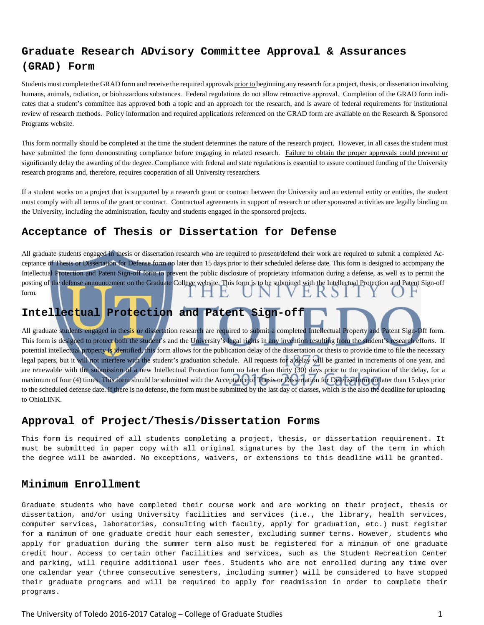# **Graduate Research ADvisory Committee Approval & Assurances (GRAD) Form**

Students must complete the GRAD form and receive the required approvals prior to beginning any research for a project, thesis, or dissertation involving humans, animals, radiation, or biohazardous substances. Federal regulations do not allow retroactive approval. Completion of the GRAD form indicates that a student's committee has approved both a topic and an approach for the research, and is aware of federal requirements for institutional review of research methods. Policy information and required applications referenced on the GRAD form are available on the Research & Sponsored Programs website.

This form normally should be completed at the time the student determines the nature of the research project. However, in all cases the student must have submitted the form demonstrating compliance before engaging in related research. Failure to obtain the proper approvals could prevent or significantly delay the awarding of the degree. Compliance with federal and state regulations is essential to assure continued funding of the University research programs and, therefore, requires cooperation of all University researchers.

If a student works on a project that is supported by a research grant or contract between the University and an external entity or entities, the student must comply with all terms of the grant or contract. Contractual agreements in support of research or other sponsored activities are legally binding on the University, including the administration, faculty and students engaged in the sponsored projects.

## **Acceptance of Thesis or Dissertation for Defense**

All graduate students engaged in thesis or dissertation research who are required to present/defend their work are required to submit a completed Acceptance of Thesis or Dissertation for Defense form no later than 15 days prior to their scheduled defense date. This form is designed to accompany the Intellectual Protection and Patent Sign-off form to prevent the public disclosure of proprietary information during a defense, as well as to permit the posting of the defense announcement on the Graduate College website. This form is to be submitted with the Intellectual Protection and Patent Sign-off form. H E K S

# **Intellectual Protection and Patent Sign-off**

All graduate students engaged in thesis or dissertation research are required to submit a completed Intellectual Property and Patent Sign-Off form. This form is designed to protect both the student's and the University's legal rights in any invention resulting from the student's research efforts. If potential intellectual property is identified, this form allows for the publication delay of the dissertation or thesis to provide time to file the necessary legal papers, but it will not interfere with the student's graduation schedule. All requests for a delay will be granted in increments of one year, and are renewable with the submission of a new Intellectual Protection form no later than thirty (30) days prior to the expiration of the delay, for a maximum of four (4) times. This form should be submitted with the Acceptance of Thesis or Dissertation for Defense form no later than 15 days prior to the scheduled defense date. If there is no defense, the form must be submitted by the last day of classes, which is the also the deadline for uploading to OhioLINK.

#### **Approval of Project/Thesis/Dissertation Forms**

This form is required of all students completing a project, thesis, or dissertation requirement. It must be submitted in paper copy with all original signatures by the last day of the term in which the degree will be awarded. No exceptions, waivers, or extensions to this deadline will be granted.

#### **Minimum Enrollment**

Graduate students who have completed their course work and are working on their project, thesis or dissertation, and/or using University facilities and services (i.e., the library, health services, computer services, laboratories, consulting with faculty, apply for graduation, etc.) must register for a minimum of one graduate credit hour each semester, excluding summer terms. However, students who apply for graduation during the summer term also must be registered for a minimum of one graduate credit hour. Access to certain other facilities and services, such as the Student Recreation Center and parking, will require additional user fees. Students who are not enrolled during any time over one calendar year (three consecutive semesters, including summer) will be considered to have stopped their graduate programs and will be required to apply for readmission in order to complete their programs.

The University of Toledo 2016-2017 Catalog – College of Graduate Studies 1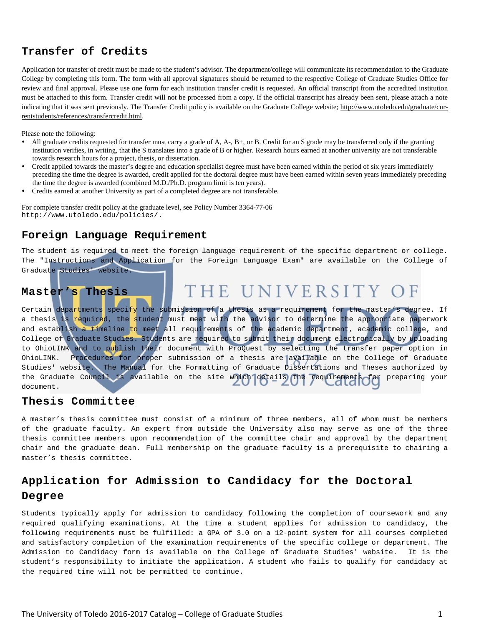# **Transfer of Credits**

Application for transfer of credit must be made to the student's advisor. The department/college will communicate its recommendation to the Graduate College by completing this form. The form with all approval signatures should be returned to the respective College of Graduate Studies Office for review and final approval. Please use one form for each institution transfer credit is requested. An official transcript from the accredited institution must be attached to this form. Transfer credit will not be processed from a copy. If the official transcript has already been sent, please attach a note indicating that it was sent previously. The Transfer Credit policy is available on the Graduate College website; http://www.utoledo.edu/graduate/currentstudents/references/transfercredit.html.

Please note the following:

- All graduate credits requested for transfer must carry a grade of A, A-, B+, or B. Credit for an S grade may be transferred only if the granting institution verifies, in writing, that the S translates into a grade of B or higher. Research hours earned at another university are not transferable towards research hours for a project, thesis, or dissertation.
- Credit applied towards the master's degree and education specialist degree must have been earned within the period of six years immediately preceding the time the degree is awarded, credit applied for the doctoral degree must have been earned within seven years immediately preceding the time the degree is awarded (combined M.D./Ph.D. program limit is ten years).
- Credits earned at another University as part of a completed degree are not transferable.

For complete transfer credit policy at the graduate level, see Policy Number 3364-77-06 http://www.utoledo.edu/policies/.

#### **Foreign Language Requirement**

The student is required to meet the foreign language requirement of the specific department or college. The "Instructions and Application for the Foreign Language Exam" are available on the College of Graduate Studies' website.

#### THE UNIVERSITY O  $\mathbb{F}$ **Master's Thesis**

Certain departments specify the submission of a thesis as a requirement for the master's degree. If a thesis is required, the student must meet with the advisor to determine the appropriate paperwork and establish a timeline to meet all requirements of the academic department, academic college, and College of Graduate Studies. Students are required to submit their document electronically by uploading to OhioLINK and to publish their document with ProQuest by selecting the transfer paper option in OhioLINK. Procedures for proper submission of a thesis are available on the College of Graduate Studies' website. The [Manual for the Formatting of Graduate Dissertations and Theses](http://www.utoledo.edu/graduate/files/Formatting_Manual_12a.pdf) authorized by the Graduate Council is available on the site which details the requirements for preparing your document.

#### **Thesis Committee**

A master's thesis committee must consist of a minimum of three members, all of whom must be members of the graduate faculty. An expert from outside the University also may serve as one of the three thesis committee members upon recommendation of the committee chair and approval by the department chair and the graduate dean. Full membership on the graduate faculty is a prerequisite to chairing a master's thesis committee.

# **Application for Admission to Candidacy for the Doctoral Degree**

Students typically apply for admission to candidacy following the completion of coursework and any required qualifying examinations. At the time a student applies for admission to candidacy, the following requirements must be fulfilled: a GPA of 3.0 on a 12-point system for all courses completed and satisfactory completion of the examination requirements of the specific college or department. The Admission to Candidacy form is available on the College of Graduate Studies' website. It is the student's responsibility to initiate the application. A student who fails to qualify for candidacy at the required time will not be permitted to continue.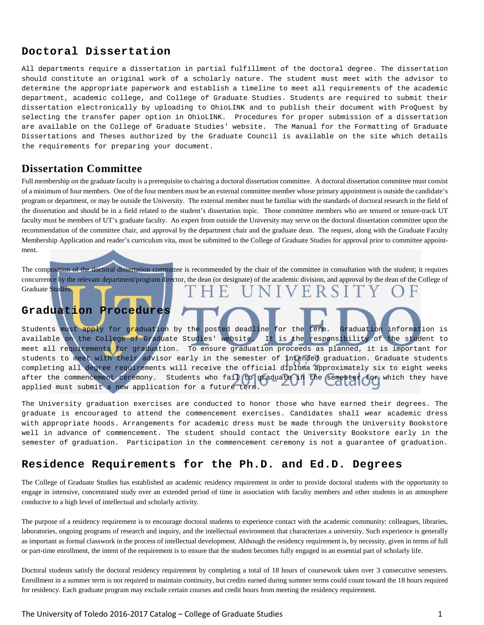### **Doctoral Dissertation**

All departments require a dissertation in partial fulfillment of the doctoral degree. The dissertation should constitute an original work of a scholarly nature. The student must meet with the advisor to determine the appropriate paperwork and establish a timeline to meet all requirements of the academic department, academic college, and College of Graduate Studies. Students are required to submit their dissertation electronically by uploading to OhioLINK and to publish their document with ProQuest by selecting the transfer paper option in OhioLINK. Procedures for proper submission of a dissertation are available on the College of Graduate Studies' website. The Manual for the Formatting of Graduate Dissertations and Theses authorized by the Graduate Council is available on the site which details the requirements for preparing your document.

# **Dissertation Committee**

Full membership on the graduate faculty is a prerequisite to chairing a doctoral dissertation committee. A doctoral dissertation committee must consist of a minimum of four members. One of the four members must be an external committee member whose primary appointment is outside the candidate's program or department, or may be outside the University. The external member must be familiar with the standards of doctoral research in the field of the dissertation and should be in a field related to the student's dissertation topic. Those committee members who are tenured or tenure-track UT faculty must be members of UT's graduate faculty. An expert from outside the University may serve on the doctoral dissertation committee upon the recommendation of the committee chair, and approval by the department chair and the graduate dean. The request, along with the Graduate Faculty Membership Application and reader's curriculum vita, must be submitted to the College of Graduate Studies for approval prior to committee appointment.

The composition of the doctoral dissertation committee is recommended by the chair of the committee in consultation with the student; it requires concurrence by the relevant department/program director, the dean (or designate) of the academic division, and approval by the dean of the College of Graduate Studies. F. VERS

# **Graduation Procedures**

Students must apply for graduation by the posted deadline for the term. Graduation information is available on the College of Graduate Studies' website. It is the responsibility of the student to meet all requirements for graduation. To ensure graduation proceeds as planned, it is important for students to meet with their advisor early in the semester of intended graduation. Graduate students completing all degree requirements will receive the official diploma approximately six to eight weeks after the commencement ceremony. Students who fail to graduate in the semester for which they have applied must submit a new application for a future term.

The University graduation exercises are conducted to honor those who have earned their degrees. The graduate is encouraged to attend the commencement exercises. Candidates shall wear academic dress with appropriate hoods. Arrangements for academic dress must be made through the University Bookstore well in advance of commencement. The student should contact the University Bookstore early in the semester of graduation. Participation in the commencement ceremony is not a guarantee of graduation.

## **Residence Requirements for the Ph.D. and Ed.D. Degrees**

The College of Graduate Studies has established an academic residency requirement in order to provide doctoral students with the opportunity to engage in intensive, concentrated study over an extended period of time in association with faculty members and other students in an atmosphere conducive to a high level of intellectual and scholarly activity.

The purpose of a residency requirement is to encourage doctoral students to experience contact with the academic community: colleagues, libraries, laboratories, ongoing programs of research and inquiry, and the intellectual environment that characterizes a university. Such experience is generally as important as formal classwork in the process of intellectual development. Although the residency requirement is, by necessity, given in terms of full or part-time enrollment, the intent of the requirement is to ensure that the student becomes fully engaged in an essential part of scholarly life.

Doctoral students satisfy the doctoral residency requirement by completing a total of 18 hours of coursework taken over 3 consecutive semesters. Enrollment in a summer term is not required to maintain continuity, but credits earned during summer terms could count toward the 18 hours required for residency. Each graduate program may exclude certain courses and credit hours from meeting the residency requirement.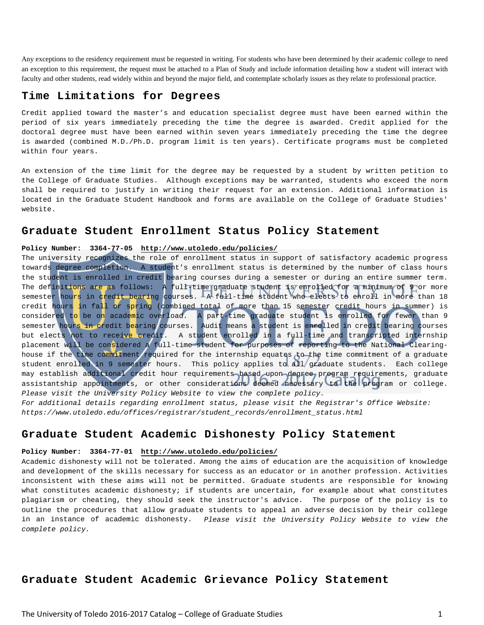Any exceptions to the residency requirement must be requested in writing. For students who have been determined by their academic college to need an exception to this requirement, the request must be attached to a Plan of Study and include information detailing how a student will interact with faculty and other students, read widely within and beyond the major field, and contemplate scholarly issues as they relate to professional practice.

#### **Time Limitations for Degrees**

Credit applied toward the master's and education specialist degree must have been earned within the period of six years immediately preceding the time the degree is awarded. Credit applied for the doctoral degree must have been earned within seven years immediately preceding the time the degree is awarded (combined M.D./Ph.D. program limit is ten years). Certificate programs must be completed within four years.

An extension of the time limit for the degree may be requested by a student by written petition to the College of Graduate Studies. Although exceptions may be warranted, students who exceed the norm shall be required to justify in writing their request for an extension. Additional information is located in the Graduate Student Handbook and forms are available on the College of Graduate Studies' website.

#### **Graduate Student Enrollment Status Policy Statement**

#### **Policy Number: 3364-77-05 [http://www.utoledo.edu/policies/](http://www.utoledo.edu/policies/index.html)**

The university recognizes the role of enrollment status in support of satisfactory academic progress towards degree completion. A student's enrollment status is determined by the number of class hours the student is enrolled in credit bearing courses during a semester or during an entire summer term. The definitions are as follows: A full-time graduate student is enrolled for a minimum of 9 or more semester hours in credit bearing courses. A full-time student who elects to enroll in more than 18 credit hours in fall or spring (combined total of more than 15 semester credit hours in summer) is considered to be on academic overload. A part-time graduate student is enrolled for fewer than 9 semester hours in credit bearing courses. Audit means a student is enrolled in credit bearing courses but elects not to receive credit. A student enrolled in a full-time and transcripted internship placement will be considered a full-time student for purposes of reporting to the National Clearinghouse if the time commitment required for the internship equates to the time commitment of a graduate student enrolled in 9 semester hours. This policy applies to all graduate students. Each college may establish additional credit hour requirements based upon degree program requirements, graduate assistantship appointments, or other considerations deemed necessary to the program or college. *Please visit the University Policy Website to view the complete policy. For additional details regarding enrollment status, please visit the Registrar's Office Website:* 

*https://www.utoledo.edu/offices/registrar/student\_records/enrollment\_status.html*

#### **Graduate Student Academic Dishonesty Policy Statement**

#### **Policy Number: 3364-77-01 [http://www.utoledo.edu/policies/](http://www.utoledo.edu/policies/index.html)**

Academic dishonesty will not be tolerated. Among the aims of education are the acquisition of knowledge and development of the skills necessary for success as an educator or in another profession. Activities inconsistent with these aims will not be permitted. Graduate students are responsible for knowing what constitutes academic dishonesty; if students are uncertain, for example about what constitutes plagiarism or cheating, they should seek the instructor's advice. The purpose of the policy is to outline the procedures that allow graduate students to appeal an adverse decision by their college in an instance of academic dishonesty. *Please visit the University Policy Website to view the complete policy.*

#### **Graduate Student Academic Grievance Policy Statement**